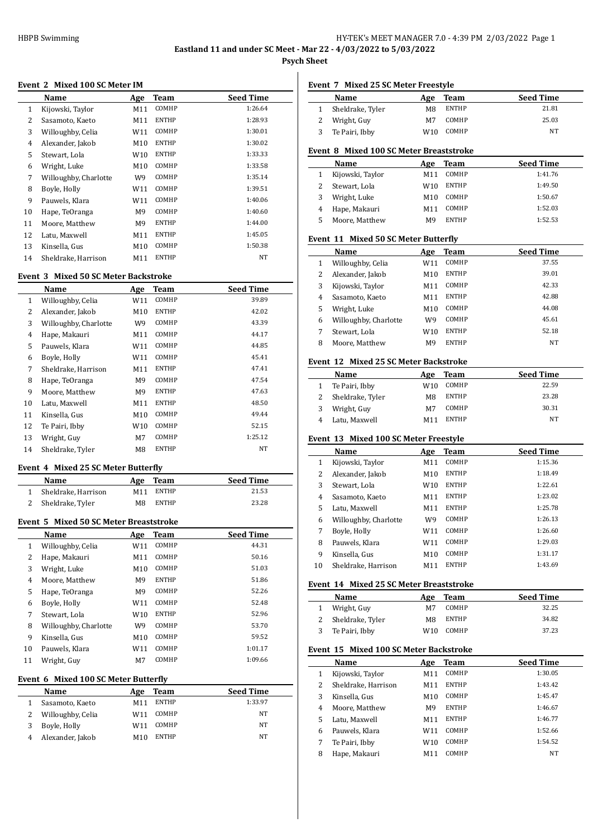**Eastland 11 and under SC Meet - Mar 22 - 4/03/2022 to 5/03/2022 Psych Sheet**

#### **Event 2 Mixed 100 SC Meter IM**

| <b>MACU TOO SUMEE!</b> IM |                       |                 |              |                  |  |
|---------------------------|-----------------------|-----------------|--------------|------------------|--|
|                           | Name                  | Age             | Team         | <b>Seed Time</b> |  |
| 1                         | Kijowski, Taylor      | M11             | COMHP        | 1:26.64          |  |
| 2                         | Sasamoto, Kaeto       | M11             | <b>ENTHP</b> | 1:28.93          |  |
| 3                         | Willoughby, Celia     | W11             | COMHP        | 1:30.01          |  |
| $\overline{4}$            | Alexander, Jakob      | M10             | <b>ENTHP</b> | 1:30.02          |  |
| 5                         | Stewart, Lola         | W <sub>10</sub> | <b>ENTHP</b> | 1:33.33          |  |
| 6                         | Wright, Luke          | M10             | COMHP        | 1:33.58          |  |
| 7                         | Willoughby, Charlotte | W9              | COMHP        | 1:35.14          |  |
| 8                         | Boyle, Holly          | W11             | COMHP        | 1:39.51          |  |
| 9                         | Pauwels, Klara        | W11             | COMHP        | 1:40.06          |  |
| 10                        | Hape, TeOranga        | M9              | COMHP        | 1:40.60          |  |
| 11                        | Moore, Matthew        | M9              | <b>ENTHP</b> | 1:44.00          |  |
| 12                        | Latu, Maxwell         | M11             | <b>ENTHP</b> | 1:45.05          |  |
| 13                        | Kinsella, Gus         | M10             | COMHP        | 1:50.38          |  |
| 14                        | Sheldrake, Harrison   | M11             | <b>ENTHP</b> | NT               |  |
|                           |                       |                 |              |                  |  |

#### **Event 3 Mixed 50 SC Meter Backstroke**

|    | Name                  | Age | Team         | <b>Seed Time</b> |
|----|-----------------------|-----|--------------|------------------|
| 1  | Willoughby, Celia     | W11 | COMHP        | 39.89            |
| 2  | Alexander, Jakob      | M10 | <b>ENTHP</b> | 42.02            |
| 3  | Willoughby, Charlotte | W9  | COMHP        | 43.39            |
| 4  | Hape, Makauri         | M11 | COMHP        | 44.17            |
| 5  | Pauwels, Klara        | W11 | COMHP        | 44.85            |
| 6  | Boyle, Holly          | W11 | COMHP        | 45.41            |
| 7  | Sheldrake, Harrison   | M11 | <b>ENTHP</b> | 47.41            |
| 8  | Hape, TeOranga        | M9  | COMHP        | 47.54            |
| 9  | Moore, Matthew        | M9  | <b>ENTHP</b> | 47.63            |
| 10 | Latu, Maxwell         | M11 | <b>ENTHP</b> | 48.50            |
| 11 | Kinsella, Gus         | M10 | COMHP        | 49.44            |
| 12 | Te Pairi, Ibby        | W10 | COMHP        | 52.15            |
| 13 | Wright, Guy           | M7  | COMHP        | 1:25.12          |
| 14 | Sheldrake, Tyler      | M8  | <b>ENTHP</b> | NT               |
|    |                       |     |              |                  |

#### **Event 4 Mixed 25 SC Meter Butterfly**

| Name                | Age | Team         | <b>Seed Time</b> |
|---------------------|-----|--------------|------------------|
| Sheldrake, Harrison | M11 | ENTHP        | 21.53            |
| Sheldrake, Tyler    | MЯ  | <b>ENTHP</b> | 23.28            |

#### **Event 5 Mixed 50 SC Meter Breaststroke**

|    | Name                  | Age | <b>Team</b>  | <b>Seed Time</b> |
|----|-----------------------|-----|--------------|------------------|
| 1  | Willoughby, Celia     | W11 | COMHP        | 44.31            |
| 2  | Hape, Makauri         | M11 | <b>COMHP</b> | 50.16            |
| 3  | Wright, Luke          | M10 | <b>COMHP</b> | 51.03            |
| 4  | Moore, Matthew        | M9  | <b>ENTHP</b> | 51.86            |
| 5  | Hape, TeOranga        | M9  | <b>COMHP</b> | 52.26            |
| 6  | Boyle, Holly          | W11 | <b>COMHP</b> | 52.48            |
| 7  | Stewart. Lola         | W10 | <b>ENTHP</b> | 52.96            |
| 8  | Willoughby, Charlotte | W9  | COMHP        | 53.70            |
| 9  | Kinsella, Gus         | M10 | <b>COMHP</b> | 59.52            |
| 10 | Pauwels, Klara        | W11 | COMHP        | 1:01.17          |
| 11 | Wright, Guv           | M7  | <b>COMHP</b> | 1:09.66          |

## **Event 6 Mixed 100 SC Meter Butterfly**

| <b>Name</b>       | Age             | Team         | <b>Seed Time</b> |
|-------------------|-----------------|--------------|------------------|
| Sasamoto, Kaeto   | M11             | <b>ENTHP</b> | 1:33.97          |
| Willoughby, Celia | W11             | <b>COMHP</b> | NT               |
| Boyle, Holly      | W11             | <b>COMHP</b> | NT               |
| Alexander, Jakob  | M <sub>10</sub> | <b>ENTHP</b> | NT               |

# **Event 7 Mixed 25 SC Meter Freestyle**

| <b>Name</b>      | Age | Team  | <b>Seed Time</b> |
|------------------|-----|-------|------------------|
| Sheldrake, Tyler | M8  | ENTHP | 21.81            |
| Wright, Guy      | M7  | COMHP | 25.03            |
| Te Pairi, Ibby   | W10 | COMHP | <b>NT</b>        |

#### **Event 8 Mixed 100 SC Meter Breaststroke**

|   | Name             | Age             | <b>Team</b>  | <b>Seed Time</b> |
|---|------------------|-----------------|--------------|------------------|
|   | Kijowski, Taylor | M11             | COMHP        | 1:41.76          |
|   | Stewart, Lola    | W10             | <b>ENTHP</b> | 1:49.50          |
|   | Wright, Luke     | M <sub>10</sub> | COMHP        | 1:50.67          |
| 4 | Hape, Makauri    | M11             | COMHP        | 1:52.03          |
|   | Moore, Matthew   | M9              | <b>ENTHP</b> | 1:52.53          |

## **Event 11 Mixed 50 SC Meter Butterfly**

|   | Name                  | Age             | Team         | <b>Seed Time</b> |
|---|-----------------------|-----------------|--------------|------------------|
| 1 | Willoughby, Celia     | W11             | COMHP        | 37.55            |
| 2 | Alexander, Jakob      | M10             | <b>ENTHP</b> | 39.01            |
| 3 | Kijowski, Taylor      | M11             | COMHP        | 42.33            |
| 4 | Sasamoto, Kaeto       | M11             | <b>ENTHP</b> | 42.88            |
| 5 | Wright, Luke          | M <sub>10</sub> | COMHP        | 44.08            |
| 6 | Willoughby, Charlotte | W9              | COMHP        | 45.61            |
| 7 | Stewart, Lola         | W10             | <b>ENTHP</b> | 52.18            |
| 8 | Moore, Matthew        | M <sub>9</sub>  | <b>ENTHP</b> | NT               |
|   |                       |                 |              |                  |

# **Event 12 Mixed 25 SC Meter Backstroke**

|   | Name               | Age | Team         | <b>Seed Time</b> |
|---|--------------------|-----|--------------|------------------|
|   | Te Pairi, Ibby     | W10 | COMHP        | 22.59            |
|   | 2 Sheldrake, Tyler | M8  | ENTHP        | 23.28            |
| 3 | Wright, Guy        | M7  | COMHP        | 30.31            |
|   | Latu, Maxwell      | M11 | <b>ENTHP</b> | NT               |

## **Event 13 Mixed 100 SC Meter Freestyle**

|    | Name                  | Age | Team         | <b>Seed Time</b> |
|----|-----------------------|-----|--------------|------------------|
| 1  | Kijowski, Taylor      | M11 | COMHP        | 1:15.36          |
| 2  | Alexander, Jakob      | M10 | <b>ENTHP</b> | 1:18.49          |
| 3  | Stewart. Lola         | W10 | <b>ENTHP</b> | 1:22.61          |
| 4  | Sasamoto, Kaeto       | M11 | <b>ENTHP</b> | 1:23.02          |
| 5  | Latu. Maxwell         | M11 | <b>ENTHP</b> | 1:25.78          |
| 6  | Willoughby, Charlotte | W9  | COMHP        | 1:26.13          |
| 7  | Boyle, Holly          | W11 | COMHP        | 1:26.60          |
| 8  | Pauwels, Klara        | W11 | COMHP        | 1:29.03          |
| 9  | Kinsella, Gus         | M10 | COMHP        | 1:31.17          |
| 10 | Sheldrake, Harrison   | M11 | <b>ENTHP</b> | 1:43.69          |

#### **Event 14 Mixed 25 SC Meter Breaststroke**

|   | <b>Name</b>        | Age | Team  | <b>Seed Time</b> |
|---|--------------------|-----|-------|------------------|
|   | Wright, Guy        | M7  | COMHP | 32.25            |
|   | 2 Sheldrake, Tyler | M8  | ENTHP | 34.82            |
| 3 | Te Pairi, Ibby     | W10 | COMHP | 37.23            |

# **Event 15 Mixed 100 SC Meter Backstroke**

|   | <b>Name</b>         | Age | Team         | <b>Seed Time</b> |
|---|---------------------|-----|--------------|------------------|
| 1 | Kijowski, Taylor    | M11 | COMHP        | 1:30.05          |
| 2 | Sheldrake, Harrison | M11 | <b>ENTHP</b> | 1:43.42          |
| 3 | Kinsella, Gus       | M10 | COMHP        | 1:45.47          |
| 4 | Moore, Matthew      | M9  | <b>ENTHP</b> | 1:46.67          |
| 5 | Latu, Maxwell       | M11 | <b>ENTHP</b> | 1:46.77          |
| 6 | Pauwels, Klara      | W11 | COMHP        | 1:52.66          |
|   | Te Pairi, Ibby      | W10 | COMHP        | 1:54.52          |
| 8 | Hape, Makauri       | M11 | COMHP        | NT               |